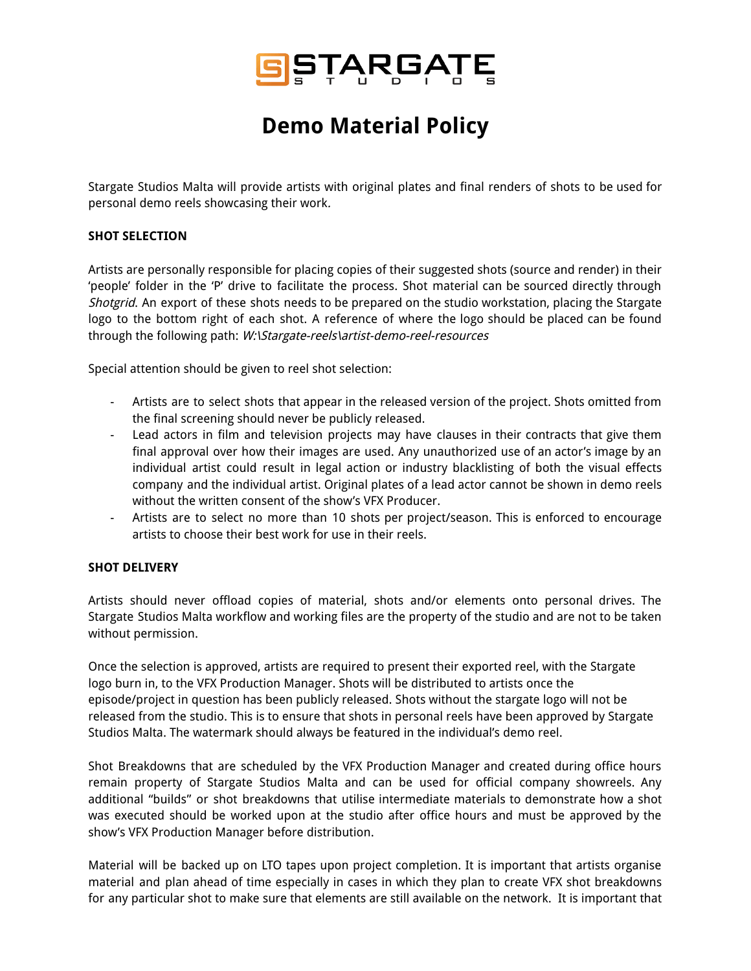

## **Demo Material Policy**

Stargate Studios Malta will provide artists with original plates and final renders of shots to be used for personal demo reels showcasing their work.

## **SHOT SELECTION**

Artists are personally responsible for placing copies of their suggested shots (source and render) in their 'people' folder in the 'P' drive to facilitate the process. Shot material can be sourced directly through Shotgrid. An export of these shots needs to be prepared on the studio workstation, placing the Stargate logo to the bottom right of each shot. A reference of where the logo should be placed can be found through the following path: W:\Stargate-reels\artist-demo-reel-resources

Special attention should be given to reel shot selection:

- Artists are to select shots that appear in the released version of the project. Shots omitted from the final screening should never be publicly released.
- Lead actors in film and television projects may have clauses in their contracts that give them final approval over how their images are used. Any unauthorized use of an actor's image by an individual artist could result in legal action or industry blacklisting of both the visual effects company and the individual artist. Original plates of a lead actor cannot be shown in demo reels without the written consent of the show's VFX Producer.
- Artists are to select no more than 10 shots per project/season. This is enforced to encourage artists to choose their best work for use in their reels.

## **SHOT DELIVERY**

Artists should never offload copies of material, shots and/or elements onto personal drives. The Stargate Studios Malta workflow and working files are the property of the studio and are not to be taken without permission.

Once the selection is approved, artists are required to present their exported reel, with the Stargate logo burn in, to the VFX Production Manager. Shots will be distributed to artists once the episode/project in question has been publicly released. Shots without the stargate logo will not be released from the studio. This is to ensure that shots in personal reels have been approved by Stargate Studios Malta. The watermark should always be featured in the individual's demo reel.

Shot Breakdowns that are scheduled by the VFX Production Manager and created during office hours remain property of Stargate Studios Malta and can be used for official company showreels. Any additional "builds" or shot breakdowns that utilise intermediate materials to demonstrate how a shot was executed should be worked upon at the studio after office hours and must be approved by the show's VFX Production Manager before distribution.

Material will be backed up on LTO tapes upon project completion. It is important that artists organise material and plan ahead of time especially in cases in which they plan to create VFX shot breakdowns for any particular shot to make sure that elements are still available on the network. It is important that